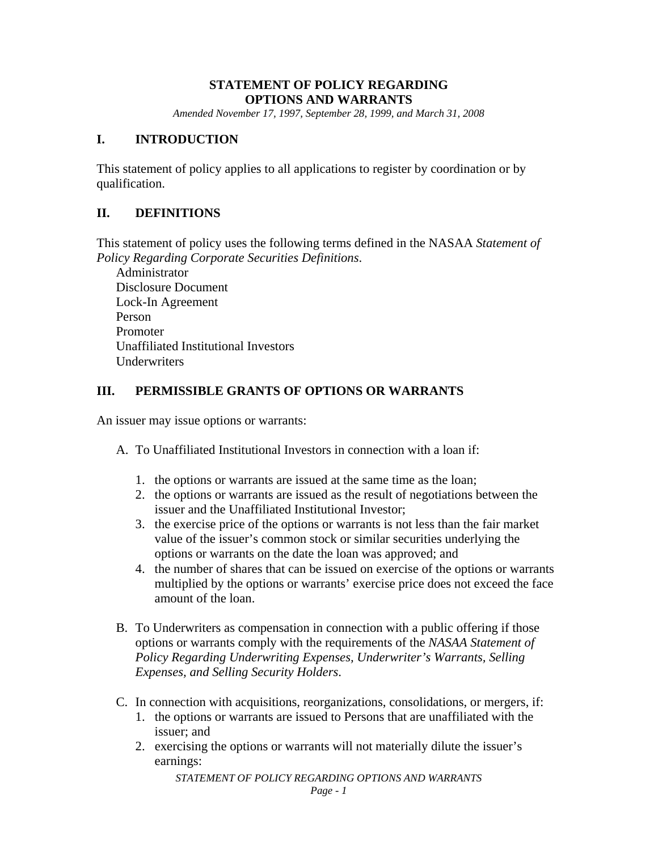## **STATEMENT OF POLICY REGARDING OPTIONS AND WARRANTS**

*Amended November 17, 1997, September 28, 1999, and March 31, 2008* 

#### **I. INTRODUCTION**

This statement of policy applies to all applications to register by coordination or by qualification.

# **II. DEFINITIONS**

This statement of policy uses the following terms defined in the NASAA *Statement of Policy Regarding Corporate Securities Definitions*.

Administrator Disclosure Document Lock-In Agreement Person Promoter Unaffiliated Institutional Investors Underwriters

## **III. PERMISSIBLE GRANTS OF OPTIONS OR WARRANTS**

An issuer may issue options or warrants:

- A. To Unaffiliated Institutional Investors in connection with a loan if:
	- 1. the options or warrants are issued at the same time as the loan;
	- 2. the options or warrants are issued as the result of negotiations between the issuer and the Unaffiliated Institutional Investor;
	- 3. the exercise price of the options or warrants is not less than the fair market value of the issuer's common stock or similar securities underlying the options or warrants on the date the loan was approved; and
	- 4. the number of shares that can be issued on exercise of the options or warrants multiplied by the options or warrants' exercise price does not exceed the face amount of the loan.
- B. To Underwriters as compensation in connection with a public offering if those options or warrants comply with the requirements of the *NASAA Statement of Policy Regarding Underwriting Expenses, Underwriter's Warrants, Selling Expenses, and Selling Security Holders*.
- C. In connection with acquisitions, reorganizations, consolidations, or mergers, if:
	- 1. the options or warrants are issued to Persons that are unaffiliated with the issuer; and
	- 2. exercising the options or warrants will not materially dilute the issuer's earnings:

*STATEMENT OF POLICY REGARDING OPTIONS AND WARRANTS*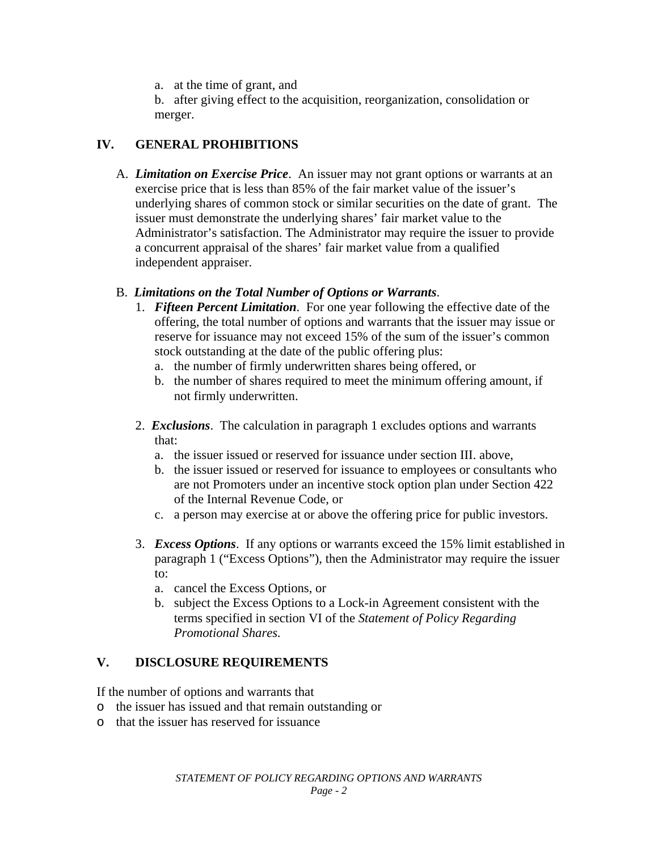a. at the time of grant, and

b. after giving effect to the acquisition, reorganization, consolidation or merger.

# **IV. GENERAL PROHIBITIONS**

A. *Limitation on Exercise Price*. An issuer may not grant options or warrants at an exercise price that is less than 85% of the fair market value of the issuer's underlying shares of common stock or similar securities on the date of grant. The issuer must demonstrate the underlying shares' fair market value to the Administrator's satisfaction. The Administrator may require the issuer to provide a concurrent appraisal of the shares' fair market value from a qualified independent appraiser.

## B. *Limitations on the Total Number of Options or Warrants*.

- 1. *Fifteen Percent Limitation*. For one year following the effective date of the offering, the total number of options and warrants that the issuer may issue or reserve for issuance may not exceed 15% of the sum of the issuer's common stock outstanding at the date of the public offering plus:
	- a. the number of firmly underwritten shares being offered, or
	- b. the number of shares required to meet the minimum offering amount, if not firmly underwritten.
- 2. *Exclusions*. The calculation in paragraph 1 excludes options and warrants that:
	- a. the issuer issued or reserved for issuance under section III. above,
	- b. the issuer issued or reserved for issuance to employees or consultants who are not Promoters under an incentive stock option plan under Section 422 of the Internal Revenue Code, or
	- c. a person may exercise at or above the offering price for public investors.
- 3. *Excess Options*. If any options or warrants exceed the 15% limit established in paragraph 1 ("Excess Options"), then the Administrator may require the issuer to:
	- a. cancel the Excess Options, or
	- b. subject the Excess Options to a Lock-in Agreement consistent with the terms specified in section VI of the *Statement of Policy Regarding Promotional Shares.*

# **V. DISCLOSURE REQUIREMENTS**

If the number of options and warrants that

- o the issuer has issued and that remain outstanding or
- o that the issuer has reserved for issuance